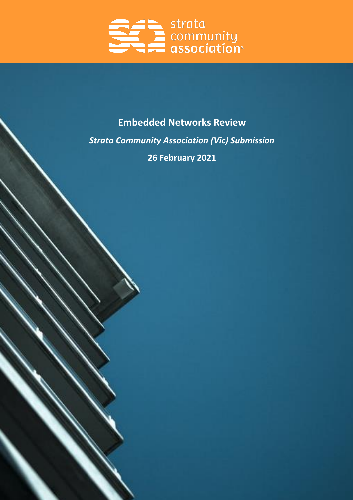

# **Embedded Networks Review** *Strata Community Association (Vic) Submission* **26 February 2021**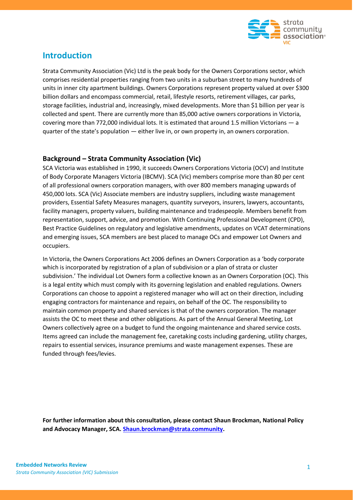

# **Introduction**

Strata Community Association (Vic) Ltd is the peak body for the Owners Corporations sector, which comprises residential properties ranging from two units in a suburban street to many hundreds of units in inner city apartment buildings. Owners Corporations represent property valued at over \$300 billion dollars and encompass commercial, retail, lifestyle resorts, retirement villages, car parks, storage facilities, industrial and, increasingly, mixed developments. More than \$1 billion per year is collected and spent. There are currently more than 85,000 active owners corporations in Victoria, covering more than 772,000 individual lots. It is estimated that around 1.5 million Victorians — a quarter of the state's population — either live in, or own property in, an owners corporation.

#### **Background – Strata Community Association (Vic)**

SCA Victoria was established in 1990, it succeeds Owners Corporations Victoria (OCV) and Institute of Body Corporate Managers Victoria (IBCMV). SCA (Vic) members comprise more than 80 per cent of all professional owners corporation managers, with over 800 members managing upwards of 450,000 lots. SCA (Vic) Associate members are industry suppliers, including waste management providers, Essential Safety Measures managers, quantity surveyors, insurers, lawyers, accountants, facility managers, property valuers, building maintenance and tradespeople. Members benefit from representation, support, advice, and promotion. With Continuing Professional Development (CPD), Best Practice Guidelines on regulatory and legislative amendments, updates on VCAT determinations and emerging issues, SCA members are best placed to manage OCs and empower Lot Owners and occupiers.

In Victoria, the Owners Corporations Act 2006 defines an Owners Corporation as a 'body corporate which is incorporated by registration of a plan of subdivision or a plan of strata or cluster subdivision.' The individual Lot Owners form a collective known as an Owners Corporation (OC). This is a legal entity which must comply with its governing legislation and enabled regulations. Owners Corporations can choose to appoint a registered manager who will act on their direction, including engaging contractors for maintenance and repairs, on behalf of the OC. The responsibility to maintain common property and shared services is that of the owners corporation. The manager assists the OC to meet these and other obligations. As part of the Annual General Meeting, Lot Owners collectively agree on a budget to fund the ongoing maintenance and shared service costs. Items agreed can include the management fee, caretaking costs including gardening, utility charges, repairs to essential services, insurance premiums and waste management expenses. These are funded through fees/levies.

**For further information about this consultation, please contact Shaun Brockman, National Policy and Advocacy Manager, SCA. [Shaun.brockman@strata.community.](mailto:Shaun.brockman@strata.community)**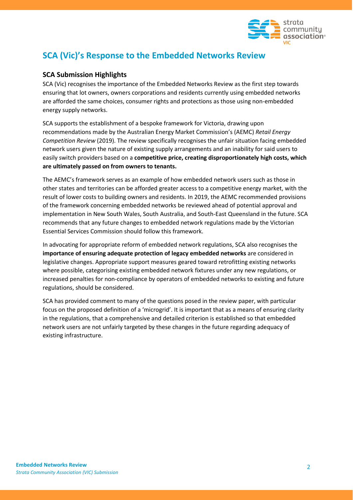

# **SCA (Vic)'s Response to the Embedded Networks Review**

## **SCA Submission Highlights**

SCA (Vic) recognises the importance of the Embedded Networks Review as the first step towards ensuring that lot owners, owners corporations and residents currently using embedded networks are afforded the same choices, consumer rights and protections as those using non-embedded energy supply networks.

SCA supports the establishment of a bespoke framework for Victoria, drawing upon recommendations made by the Australian Energy Market Commission's (AEMC) *Retail Energy Competition Review* (2019). The review specifically recognises the unfair situation facing embedded network users given the nature of existing supply arrangements and an inability for said users to easily switch providers based on a **competitive price, creating disproportionately high costs, which are ultimately passed on from owners to tenants.** 

The AEMC's framework serves as an example of how embedded network users such as those in other states and territories can be afforded greater access to a competitive energy market, with the result of lower costs to building owners and residents. In 2019, the AEMC recommended provisions of the framework concerning embedded networks be reviewed ahead of potential approval and implementation in New South Wales, South Australia, and South-East Queensland in the future. SCA recommends that any future changes to embedded network regulations made by the Victorian Essential Services Commission should follow this framework.

In advocating for appropriate reform of embedded network regulations, SCA also recognises the **importance of ensuring adequate protection of legacy embedded networks** are considered in legislative changes. Appropriate support measures geared toward retrofitting existing networks where possible, categorising existing embedded network fixtures under any new regulations, or increased penalties for non-compliance by operators of embedded networks to existing and future regulations, should be considered.

SCA has provided comment to many of the questions posed in the review paper, with particular focus on the proposed definition of a 'microgrid'. It is important that as a means of ensuring clarity in the regulations, that a comprehensive and detailed criterion is established so that embedded network users are not unfairly targeted by these changes in the future regarding adequacy of existing infrastructure.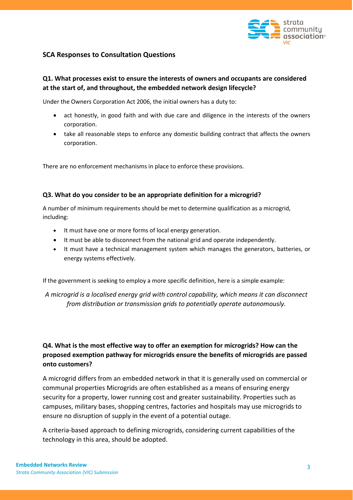

#### **SCA Responses to Consultation Questions**

# **Q1. What processes exist to ensure the interests of owners and occupants are considered at the start of, and throughout, the embedded network design lifecycle?**

Under the Owners Corporation Act 2006, the initial owners has a duty to:

- act honestly, in good faith and with due care and diligence in the interests of the owners corporation.
- take all reasonable steps to enforce any domestic building contract that affects the owners corporation.

There are no enforcement mechanisms in place to enforce these provisions.

#### **Q3. What do you consider to be an appropriate definition for a microgrid?**

A number of minimum requirements should be met to determine qualification as a microgrid, including:

- It must have one or more forms of local energy generation.
- It must be able to disconnect from the national grid and operate independently.
- It must have a technical management system which manages the generators, batteries, or energy systems effectively.

If the government is seeking to employ a more specific definition, here is a simple example:

*A microgrid is a localised energy grid with control capability, which means it can disconnect from distribution or transmission grids to potentially operate autonomously.* 

# **Q4. What is the most effective way to offer an exemption for microgrids? How can the proposed exemption pathway for microgrids ensure the benefits of microgrids are passed onto customers?**

A microgrid differs from an embedded network in that it is generally used on commercial or communal properties Microgrids are often established as a means of ensuring energy security for a property, lower running cost and greater sustainability. Properties such as campuses, military bases, shopping centres, factories and hospitals may use microgrids to ensure no disruption of supply in the event of a potential outage.

A criteria-based approach to defining microgrids, considering current capabilities of the technology in this area, should be adopted.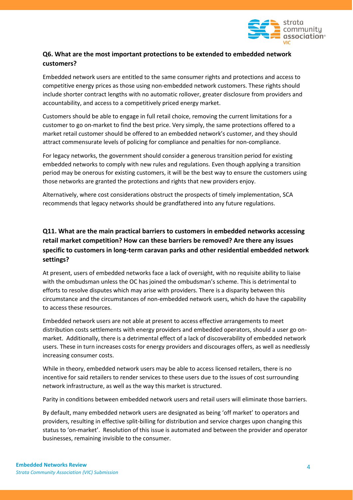

# **Q6. What are the most important protections to be extended to embedded network customers?**

Embedded network users are entitled to the same consumer rights and protections and access to competitive energy prices as those using non-embedded network customers. These rights should include shorter contract lengths with no automatic rollover, greater disclosure from providers and accountability, and access to a competitively priced energy market.

Customers should be able to engage in full retail choice, removing the current limitations for a customer to go on-market to find the best price. Very simply, the same protections offered to a market retail customer should be offered to an embedded network's customer, and they should attract commensurate levels of policing for compliance and penalties for non-compliance.

For legacy networks, the government should consider a generous transition period for existing embedded networks to comply with new rules and regulations. Even though applying a transition period may be onerous for existing customers, it will be the best way to ensure the customers using those networks are granted the protections and rights that new providers enjoy.

Alternatively, where cost considerations obstruct the prospects of timely implementation, SCA recommends that legacy networks should be grandfathered into any future regulations.

# **Q11. What are the main practical barriers to customers in embedded networks accessing retail market competition? How can these barriers be removed? Are there any issues specific to customers in long-term caravan parks and other residential embedded network settings?**

At present, users of embedded networks face a lack of oversight, with no requisite ability to liaise with the ombudsman unless the OC has joined the ombudsman's scheme. This is detrimental to efforts to resolve disputes which may arise with providers. There is a disparity between this circumstance and the circumstances of non-embedded network users, which do have the capability to access these resources.

Embedded network users are not able at present to access effective arrangements to meet distribution costs settlements with energy providers and embedded operators, should a user go onmarket. Additionally, there is a detrimental effect of a lack of discoverability of embedded network users. These in turn increases costs for energy providers and discourages offers, as well as needlessly increasing consumer costs.

While in theory, embedded network users may be able to access licensed retailers, there is no incentive for said retailers to render services to these users due to the issues of cost surrounding network infrastructure, as well as the way this market is structured.

Parity in conditions between embedded network users and retail users will eliminate those barriers.

By default, many embedded network users are designated as being 'off market' to operators and providers, resulting in effective split-billing for distribution and service charges upon changing this status to 'on-market'. Resolution of this issue is automated and between the provider and operator businesses, remaining invisible to the consumer.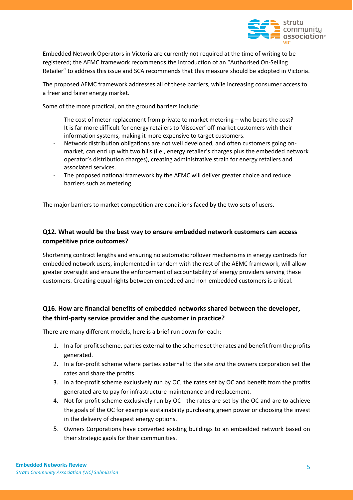

Embedded Network Operators in Victoria are currently not required at the time of writing to be registered; the AEMC framework recommends the introduction of an "Authorised On-Selling Retailer" to address this issue and SCA recommends that this measure should be adopted in Victoria.

The proposed AEMC framework addresses all of these barriers, while increasing consumer access to a freer and fairer energy market.

Some of the more practical, on the ground barriers include:

- The cost of meter replacement from private to market metering who bears the cost?
- It is far more difficult for energy retailers to 'discover' off-market customers with their information systems, making it more expensive to target customers.
- Network distribution obligations are not well developed, and often customers going onmarket, can end up with two bills (i.e., energy retailer's charges plus the embedded network operator's distribution charges), creating administrative strain for energy retailers and associated services.
- The proposed national framework by the AEMC will deliver greater choice and reduce barriers such as metering.

The major barriers to market competition are conditions faced by the two sets of users.

## **Q12. What would be the best way to ensure embedded network customers can access competitive price outcomes?**

Shortening contract lengths and ensuring no automatic rollover mechanisms in energy contracts for embedded network users, implemented in tandem with the rest of the AEMC framework, will allow greater oversight and ensure the enforcement of accountability of energy providers serving these customers. Creating equal rights between embedded and non-embedded customers is critical.

# **Q16. How are financial benefits of embedded networks shared between the developer, the third-party service provider and the customer in practice?**

There are many different models, here is a brief run down for each:

- 1. In a for-profit scheme, parties external to the scheme set the rates and benefit from the profits generated.
- 2. In a for-profit scheme where parties external to the site *and* the owners corporation set the rates and share the profits.
- 3. In a for-profit scheme exclusively run by OC, the rates set by OC and benefit from the profits generated are to pay for infrastructure maintenance and replacement.
- 4. Not for profit scheme exclusively run by OC the rates are set by the OC and are to achieve the goals of the OC for example sustainability purchasing green power or choosing the invest in the delivery of cheapest energy options.
- 5. Owners Corporations have converted existing buildings to an embedded network based on their strategic gaols for their communities.